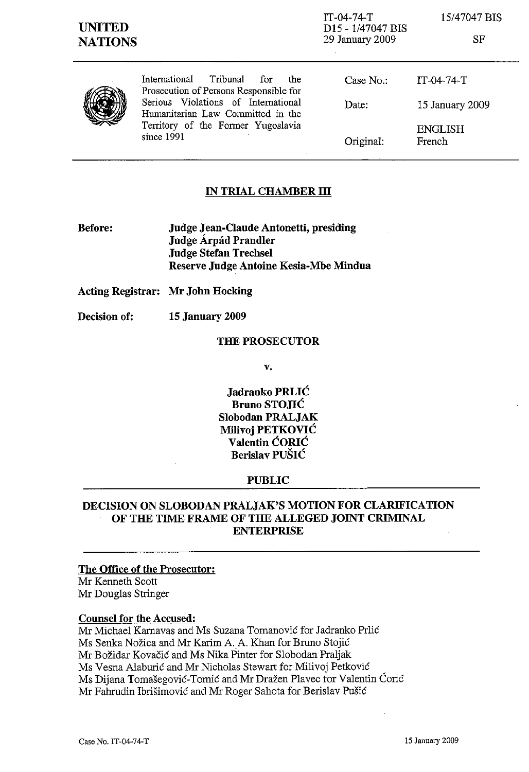IT-04-74-T D<sub>15</sub> - 1/47047 B<sub>IS</sub> 29 January 2009

15/47047 BIS

| ۰. | ۰ |
|----|---|
|    |   |

|  | - Tribunal<br>International<br>for<br>the<br>Prosecution of Persons Responsible for<br>Serious Violations of International<br>Humanitarian Law Committed in the | Case $No.$ :<br>Date: | IT-04-74-T<br>15 January 2009 |
|--|-----------------------------------------------------------------------------------------------------------------------------------------------------------------|-----------------------|-------------------------------|
|  | Territory of the Former Yugoslavia<br>since 1991                                                                                                                | Original:             | <b>ENGLISH</b><br>French      |

# IN TRIAL CHAMBER III

Before: Judge Jean-Claude Antonetti, presiding Judge Árpád Prandler Judge Stefan Trechsel Reserve Judge Antoine Kesia-Mbe Mindua

Acting Registrar: Mr John Hocking

Decision of: 15 January 2009

#### THE PROSECUTOR

v.

Jadranko PRLIC Bruno STO.IIC Slobodan PRALJAK Milivoj PETKOVIC Valentin CORIC Berislav PUSIC

## PUBLIC

# DECISION ON SLOBODAN PRALJAK'S MOTION FOR CLARIFICATION OF THE TIME FRAME OF THE ALLEGED JOINT CRIMINAL **ENTERPRISE**

The Office of the Prosecutor:

Mr Kenneth Scott Mr Douglas Stringer

#### Counsel for the Accused:

Mr Michael Kamavas and Ms Suzana Tomanovic for Jadranko Prlic Ms Senka Nozica and Mr Karim A.A. Khan for Bruno Stojic Mr Bozidar Kovacic and Ms Nika Pinter for Slobodan Praljak Ms Vesna Alaburic and Mr Nicholas Stewart for Milivoj Petkovic Ms Dijana Tomašegović-Tomić and Mr Dražen Plavec for Valentin Ćorić Mr Fahrudin Ibrisimovic and Mr Roger Sahota for Berislav Pusic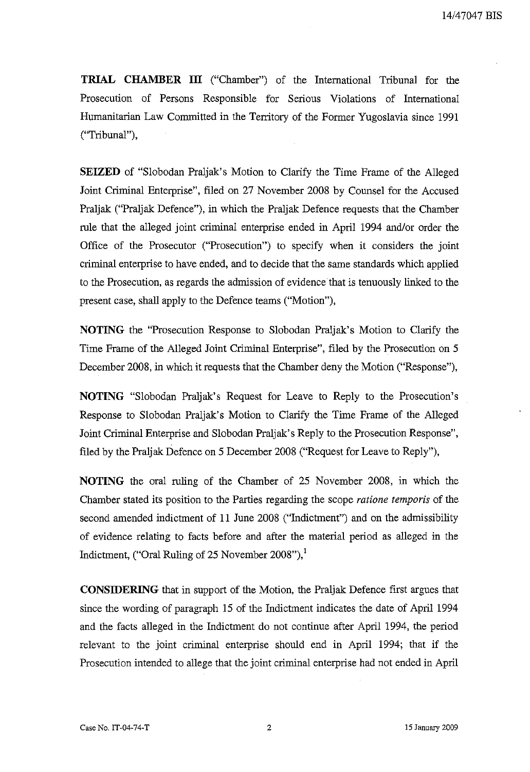**TRIAL** CHAMBER III ("Chamber") of the International Tribunal for the Prosecution of Persons Responsible for Serious Violations of International Humanitarian Law Committed in the Territory of the Former Yugoslavia since 1991 ("Tribunal"),

SEIZED of "Slobodan Praljak's Motion to Clarify the Time Frame of the Alleged Joint Criminal Enterprise", filed on 27 November 2008 by Counsel for the Accused Praljak ("Praljak Defence"), in which the Praljak Defence requests that the Chamber rule that the alleged joint criminal enterprise ended in April 1994 and/or order the Office of the Prosecutor ("Prosecution") to specify when it considers the joint criminal enterprise to have ended, and to decide that the same standards which applied to the Prosecution, as regards the admission of evidence that is tenuously linked to the present case, shall apply to the Defence teams ("Motion"),

NOTING the "Prosecution Response to Slobodan Praljak's Motion to Clarify the Time Frame of the Alleged Joint Criminal Enterprise", filed by the Prosecution on 5 December 2008, in which it requests that the Chamber deny the Motion ("Response"),

NOTING "Slobodan Praljak's Request for Leave to Reply to the Prosecution's Response to Slobodan Praljak's Motion to Clarify the Time Frame of the Alleged Joint Criminal Enterprise and Slobodan Praljak's Reply to the Prosecution Response", filed by the Praljak Defence on 5 December 2008 ("Request for Leave to Reply"),

NOTING the oral ruling of the Chamber of 25 November 2008, in which the Chamber stated its position to the Parties regarding the scope *ratione temporis* of the second amended indictment of 11 June 2008 ("Indictment") and on the admissibility of evidence relating to facts before and after the material period as alleged in the Indictment, ("Oral Ruling of 25 November 2008"), $^1$ 

CONSIDERING that in support of the Motion, the Praljak Defence first argues that since the wording of paragraph 15 of the Indictment indicates the date of April 1994 and the facts alleged in the Indictment do not continue after April 1994, the period relevant to the joint criminal enterprise should end in April 1994; that if the Prosecution intended to allege that the joint criminal enterprise had not ended in April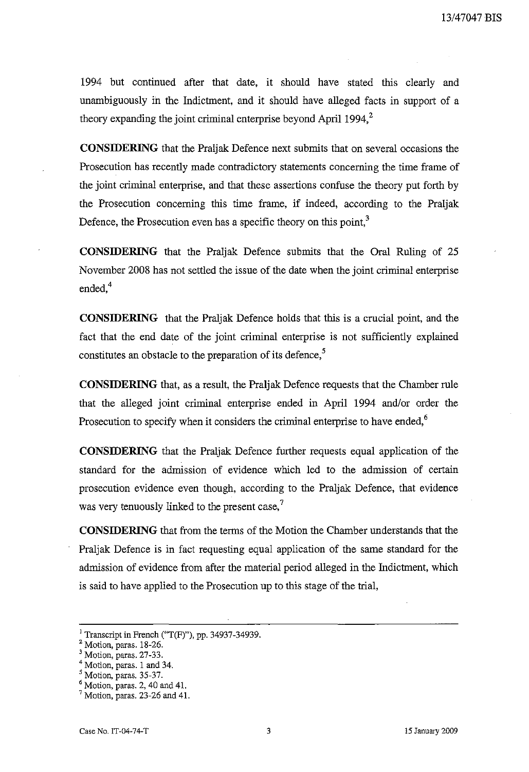1994 but continued after that date, it should have stated this clearly and unambiguously in the Indictment, and it should have alleged facts in support of a theory expanding the joint criminal enterprise beyond April 1994, $2$ 

**CONSIDERING** that the Praljak Defence next submits that on several occasions the Prosecution has recently made contradictory statements concerning the time frame of the joint criminal enterprise, and that these assertions confuse the theory put forth by the Prosecution concerning this time frame, if indeed, according to the Praljak Defence, the Prosecution even has a specific theory on this point,<sup>3</sup>

**CONSIDERING** that the Praljak Defence submits that the Oral Ruling of 25 November 2008 has not settled the issue of the date when the joint criminal enterprise ended. $4$ 

**CONSIDERING** that the Praljak Defence holds that this is a crucial point, and the fact that the end date of the joint criminal enterprise is not sufficiently explained constitutes an obstacle to the preparation of its defence, $\frac{5}{3}$ 

**CONSIDERING** that, as a result, the Praljak Defence requests that the Chamber rule that the alleged joint criminal enterprise ended in April 1994 and/or order the Prosecution to specify when it considers the criminal enterprise to have ended,<sup>6</sup>

**CONSIDERING** that the Praljak Defence further requests equal application of the standard for the admission of evidence which led to the adrnission of certain prosecution evidence even though, according to the Praljak Defence, that evidence was very tenuously linked to the present case,<sup>7</sup>

**CONSIDERING** that from the terms of the Motion the Chamber understands that the Praljak Defence is in fact requesting equal application of the same standard for the admission of evidence from after the material period alleged in the Indictment, which is said to have applied to the Prosecution up to this stage of the trial,

<sup>&</sup>lt;sup>1</sup> Transcript in French ("T(F)"), pp. 34937-34939.

<sup>2</sup> Motion, paras. 18-26.

<sup>&</sup>lt;sup>3</sup> Motion, paras. 27-33.

<sup>4</sup> Motion, paras. 1 and 34.

<sup>5</sup> Motion, paras. 35-37.

 $<sup>6</sup>$  Motion, paras. 2, 40 and 41.</sup>

 $7$  Motion, paras. 23-26 and 41.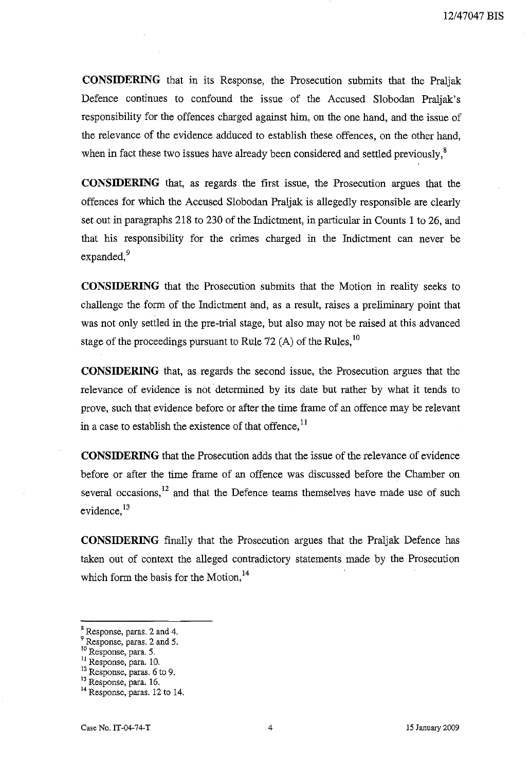**CONSIDERING** that in its Response, the Prosecution submits that the Praljak Defence continues to confound the issue of the Accused Slobodan Praljak's responsibility for the offences charged against him, on the one hand, and the issue of the relevance of the evidence adduced to establish these offences, on the other hand, when in fact these two issues have already been considered and settled previously,<sup>8</sup>

**CONSIDERING** that, as regards the first issue, the Prosecution argues that the offences for which the Accused Slobodan Praljak is allegedly responsible are clearly set out in paragraphs 218 to 230 of the Indictment, in particular in Counts 1 to 26, and that his responsibility for the crimes charged in the Indictment can never be expanded, $9$ 

**CONSIDERING** that the Prosecution submits that the Motion in reality seeks to challenge the form of the Indictment and, as a result, raises a preliminary point that was not only settled in the pre-trial stage, but also may not be raised at this advanced stage of the proceedings pursuant to Rule 72 (A) of the Rules.<sup>10</sup>

**CONSIDERING** that, as regards the second issue, the Prosecution argues that the relevance of evidence is not determined by its date but rather by what it tends to prove, such that evidence before or after the time frame of an offence may be relevant in a case to establish the existence of that offence, $<sup>11</sup>$ </sup>

**CONSIDERING** that the Prosecution adds that the issue of the relevance of evidence before or after the time frame of an offence was discussed before the Chamber on several occasions.<sup>12</sup> and that the Defence teams themselves have made use of such evidence, <sup>13</sup>

**CONSIDERING** finally that the Prosecution argues that the Praljak Defence has taken out of context the alleged contradictory statements made by the Prosecution which form the basis for the Motion.<sup>14</sup>

<sup>8</sup> Response, paras. 2 and 4.

<sup>&</sup>lt;sup>9</sup> Response, paras. 2 and 5.

<sup>10</sup> Response, para. 5.

<sup>&</sup>lt;sup>11</sup> Response, para. 10.

<sup>&</sup>lt;sup>12</sup> Response, paras. 6 to 9.

<sup>&</sup>lt;sup>13</sup> Response, para. 16.

<sup>&</sup>lt;sup>14</sup> Response, paras. 12 to 14.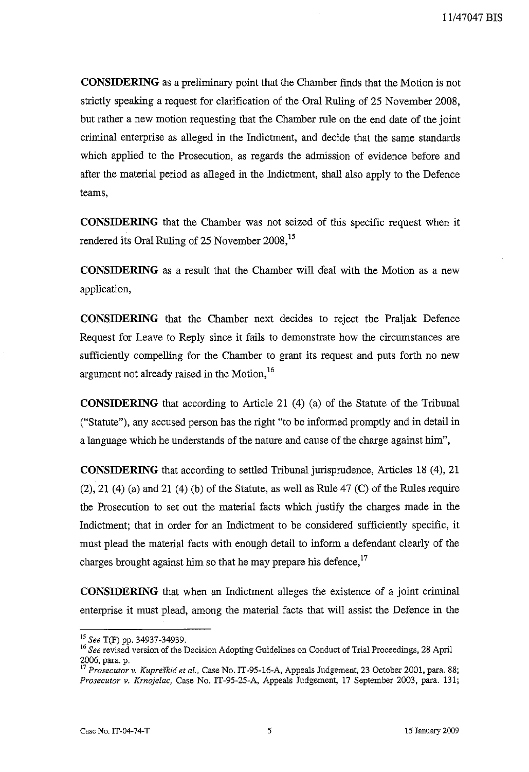**CONSIDERING** as a preliminary point that the Chamber finds that the Motion is not strictly speaking a request for clarification of the Oral Ruling of 25 November 2008, but rather a new motion requesting that the Chamber rule on the end date of the joint criminal enterprise as alleged in the Indictment, and decide that the same standards which applied to the Prosecution, as regards the admission of evidence before and after the material period as alleged in the Indictment, shall also apply to the Defence teams,

**CONSIDERING** that the Chamber was not seized of this specific request when it rendered its Oral Ruling of 25 November 2008,<sup>15</sup>

**CONSIDERING** as a result that the Chamber will deal with the Motion as a new application,

**CONSIDERING** that the Chamber next decides to reject the Praljak Defence Request for Leave to Reply since it fails to demonstrate how the circumstances are sufficiently compelling for the Chamber to grant its request and puts forth no new argument not already raised in the Motion,<sup>16</sup>

**CONSIDERING** that according to Article 21 (4) (a) of the Statute of the Tribunal ("Statute"), any accused person has the right "to be informed promptly and in detail in a language which he understands of the nature and cause of the charge against him",

**CONSIDERING** that according to settled Tribunal jurisprudence, Articles 18 (4), 21  $(2)$ , 21  $(4)$  (a) and 21  $(4)$  (b) of the Statute, as well as Rule 47  $(C)$  of the Rules require the Prosecution to set out the material facts which justify the charges made in the Indictment; that in order for an Indictment to be considered sufficiently specific, it must plead the material facts with enough detail to inform a defendant clearly of the charges brought against him so that he may prepare his defence.<sup>17</sup>

**CONSIDERING** that when an Indictment alleges the existence of a joint criminal enterprise it must plead, among the material facts that will assist the Defence in the

<sup>15</sup> *See* T(F) pp. 34937-34939.

<sup>&</sup>lt;sup>16</sup> See revised version of the Decision Adopting Guidelines on Conduct of Trial Proceedings, 28 April 2006, para. p.

*<sup>17</sup>Prosecutor v. Kupreskic et al.,* Case No. IT-95-16-A, Appeals Judgement, 23 October 2001, para. 88; *Prosecutor v. Krnojelac,* Case No. IT-95-25-A, Appeals Judgement, 17 September 2003, para. 131;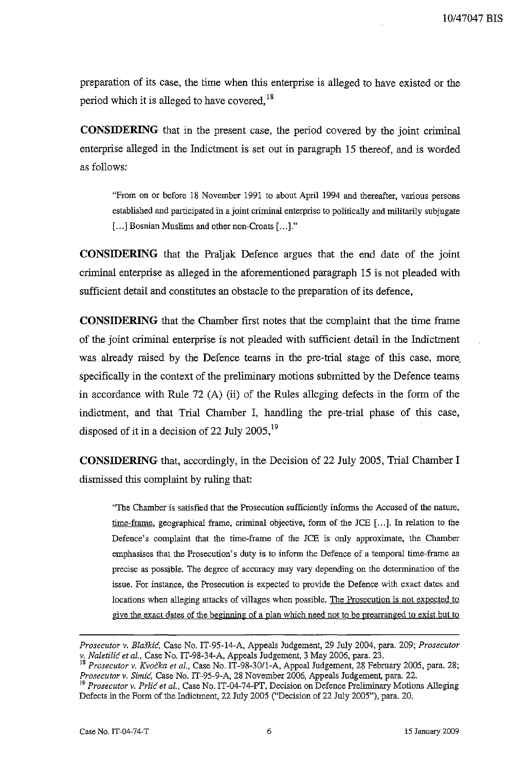preparation of its case, the time when this enterprise is alleged to have existed or the period which it is alleged to have covered.<sup>18</sup>

**CONSIDERING** that in the present case, the period covered by the joint criminal enterprise alleged in the Indictment is set out in paragraph 15 thereof, and is worded as follows:

"From on or before 18 November 1991 to about April 1994 and thereafter, various persons established and participated in a joint criminal enterprise to politically and militarily subjugate [...] Bosnian Muslims and other non-Croats [...]."

**CONSIDERING** that the Praljak Defence argues that the end date of the joint criminal enterprise as alleged in the aforementioned paragraph 15 is not pleaded with sufficient detail and constitutes an obstacle to the preparation of its defence,

**CONSIDERING** that the Chamber first notes that the complaint that the time frame of the joint criminal enterprise is not pleaded with sufficient detail in the Indictment was already raised by the Defence teams in the pre-trial stage of this case, more. specifically in the context of the preliminary motions submitted by the Defence teams in accordance with Rule 72 (A) (ii) of the Rules alleging defects in the form of the indictment, and that Trial Chamber I, handling the pre-trial phase of this case, disposed of it in a decision of 22 July 2005,<sup>19</sup>

**CONSIDERING** that, accordingly, in the Decision of 22 July 2005, Trial Chamber I dismissed this complaint by ruling that:

"The Chamber is satisfied that the Prosecution sufficiently informs the Accused of the nature, time-frame, geographical frame, criminal objective, form of the JCE [...]. In relation to the Defence's complaint that the time-frame of the JCE is only approximate, the Chamber emphasises that the Prosecution's duty is to inform the Defence of a temporal time-frame as precise as possible. The degree of accuracy may vary dependiug on the determination of the issue. For instance, the Prosecution is expected to provide the Defence with exact dates and locations when alleging attacks of villages when possible. The Prosecution is not expected to give the exact dates of the beginning of a plan which need not to be prearranged to exist but to

*Prosecutor v. Blaskic,* Case No. IT-95-14-A, Appeals Judgement, 29 July 2004, para. 209; *Prosecutor v. Naletilic et* 01., Case No. IT-98-34-A, Appeals Judgement, 3 May 2006, para. 23.

<sup>18</sup> *Prosecutor v. Kvocka et 01.,* Case No. IT-98-30/1-A, Appeal Judgement, 28 February 2005, para. 28; *Prosecutor v. Simic,* Case No. IT*-95-9-A,* 28 November 2006, Appeals Judgement, para. 22.

<sup>19</sup>*Prosecutor v. Prlic et* 01., Case No. IT-04-74-PT, Decision on Defence Preliminary Motions Alleging Defects in the Form of the Indictment, 22 July 2005 ("Decision of 22 July 2005"), para. 20.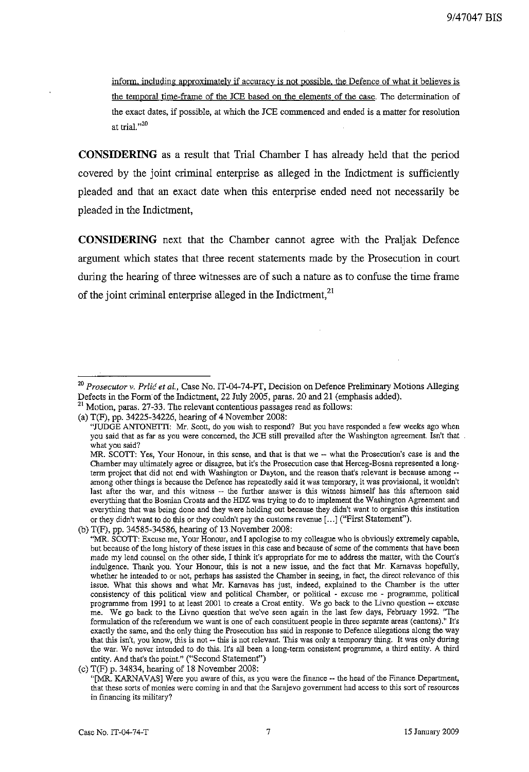inform, including approximately if accuracy is not possible, the Defence of what it believes is the temporal time-frame of the ICE based on the elements of the case. The determination of the exact dates, if possible, at which the ICE commenced and ended is a matter for resolution **at trial.,,20**

**CONSIDERING** as a result that Trial Chamber I has already held that the period covered by the joint criminal enterprise as alleged in the Indictment is sufficiently pleaded and that an exact date when this enterprise ended need not necessarily be pleaded in the Indictment,

**CONSIDERING** next that the Chamber cannot agree with the Praljak Defence argument which states that three recent statements made by the Prosecution in court during the hearing of three witnesses are of such a nature as to confuse the time frame of the joint criminal enterprise alleged in the Indictment.<sup>21</sup>

<sup>&</sup>lt;sup>20</sup> Prosecutor v. Prlić et al., Case No. IT-04-74-PT, Decision on Defence Preliminary Motions Alleging Defects in the Form of the Indictment, 22 July 2005, paras. 20 and 21 (emphasis added).

<sup>&</sup>lt;sup>21</sup> Motion, paras. 27-33. The relevant contentious passages read as follows (a) T(F), pp. 34225-34226, hearing of 4 November 2008:

**<sup>&</sup>quot;JUDGE ANTONETTI: Mr. Scott, do you wish to respond? But you haveresponded a few weeks ago when you said that as far as you were concerned, the ICE still prevailed after theWashington agreement. Isn't that** \_ **what yousaid?**

**MR. SCOTT: Yes, Your Honour, in this sense, and that is that we -- what the Prosecution's case is and the Chamber mayultimately agree or disagree, butit's theProsecution case that** Herceg-Bosna **represented a long**term **project that did not end with Washington or Dayton, and the reason that's relevant is because among - among other things is becausethe Defencehas repeatedly said it wastemporary, it was provisional, it wouldn't last after the war, and this witness -- the further answer is this witness himself has this afternoon said everything that theBosnian Croats andtheHDZ was trying to do to implement theWashington Agreement and everything that was being done andtheywereholding out becausethey didn't wantto organise this institution or they** didn't want to do this or they couldn't pay the customs revenue [...] ("First Statement").

<sup>(</sup>b) T(F), pp. 34585-34586, hearing of 13 November 2008:

<sup>&</sup>quot;MR. SCOTT: Excuse me, Your Honour, and I apologise to my colleague who is obviously extremely capable, **butbecauseof the long history of theseissues in this case andbecauseof some of the comments thathave been mademy lead counselon the other side, I think it's appropriate for me to address the matter, with the Court's indulgence. Thank you. Your Honour, this is not a new issue, and the fact that Mr. Karnavas hopefully, whether he intended to or not, perhaps has assisted the Chamber in seeing, in fact, the direct relevance of this issue. What this shows and what Mr. Karnavas has just, indeed, explained to the Chamber is the utter consistency of this political view and political Chamber, or political - excuse me - programme, political programme from 1991 to at least 2001 to create a Croat entity. We go back to the Livno question -- excuse me. We go back to the Livno question that we've seen again in the last few days, February 1992. "The formulation of thereferendum we wantis one of each constituent people in three separate areas (cantons)." It's exactly the same,andthe only thingtheProsecution has saidin response to Defence allegations along the way thatthisisn't, you know, this is not -- thisis not relevant. This was only a temporary thing. It was only during the war. We neverintended to do this.It's all been a long-term consistent programme, a third entity. A third** entity. And that's the point." ("Second Statement")

<sup>(</sup>c) T(F) p. 34834, hearing of 18 November 2008:

**<sup>&</sup>quot;[MR. KARNAVAS] Wereyou aware of this, as you were the finance -- theheadof theFinance Department, that these sortsof monieswere corning in andthat the Sarajevo government hadaccess to this sortof resources in financing its military?**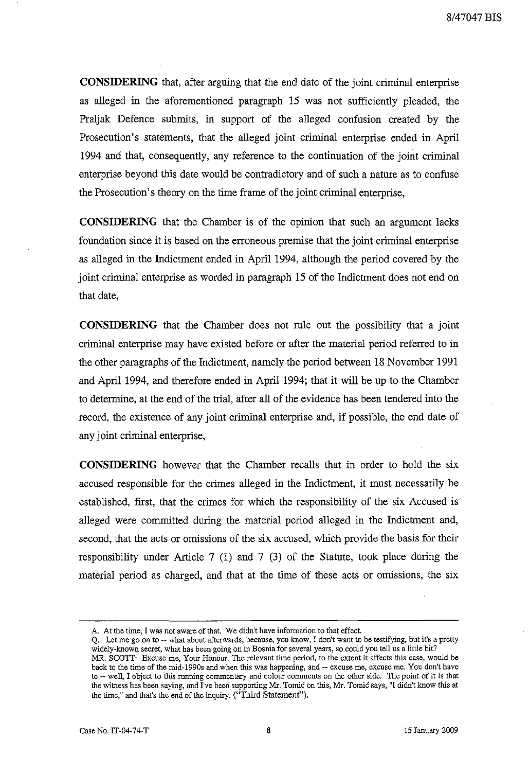**CONSIDERING** that, after arguing that the end date of the joint criminal enterprise as alleged in the aforementioned paragraph 15 was not sufficiently pleaded, the Praljak Defence submits, in support of the alleged confusion created by the Prosecution's statements, that the alleged joint criminal enterprise ended in April 1994 and that, consequently, any reference to the continuation of the joint criminal enterprise beyond this date would be contradictory and of such a nature as to confuse the Prosecution's theory on the time frame of the joint criminal enterprise,

**CONSIDERING** that the Chamber is of the opinion that such an argument lacks foundation since it is based on the erroneous premise that the joint criminal enterprise as alleged in the Indictment ended in April 1994, although the period covered by the joint criminal enterprise as worded in paragraph 15 of the Indictment does not end on that date,

**CONSIDERING** that the Chamber does not rule out the possibility that a jomt criminal enterprise may have existed before or after the material period referred to in the other paragraphs of the Indictment, namely the period between 18 November 1991 and April 1994, and therefore ended in April 1994; that it will be up to the Chamber to determine, at the end of the trial, after all of the evidence has been tendered into the record, the existence of any joint criminal enterprise and, if possible, the end date of any joint criminal enterprise,

**CONSIDERING** however that the Chamber recalls that in order to hold the six accused responsible for the crimes alleged in the Indictment, it must necessarily be established, first, that the crimes for which the responsibility of the six Accused is alleged were committed during the material period alleged in the Indictment and, second, that the acts or omissions of the six accused, which provide the basis for their responsibility under Article 7 (1) and 7 (3) of the Statute, took place during the material period as charged, and that at the time of these acts or omissions, the six

**A. At thetime, I was not aware of that. We didn't have information to thateffect.**

**Q. Let me go on to -- what aboutafterwards, because, you know, I don't want to be testifying, butit's a pretty** widely-known secret, what has been going on in Bosnia for several years, so could you tell us a little bit? **MR. SCOTT: Excuse me, Your Honour. The relevant time period, to the extent it affects this case, would be** back to the time of the mid-1990s and when this was happening, and -- excuse me, excuse me. You don't have **to -- well, I object to this running commentary and colour comments on the other side. The point of it is that the witnesshas been saying, andI'vebeen supporting Mr.** Tomic **on this, Mr.**Tomic **says, "Ididn't know this at** the time," and that's the end of the inquiry. ("Third Statement").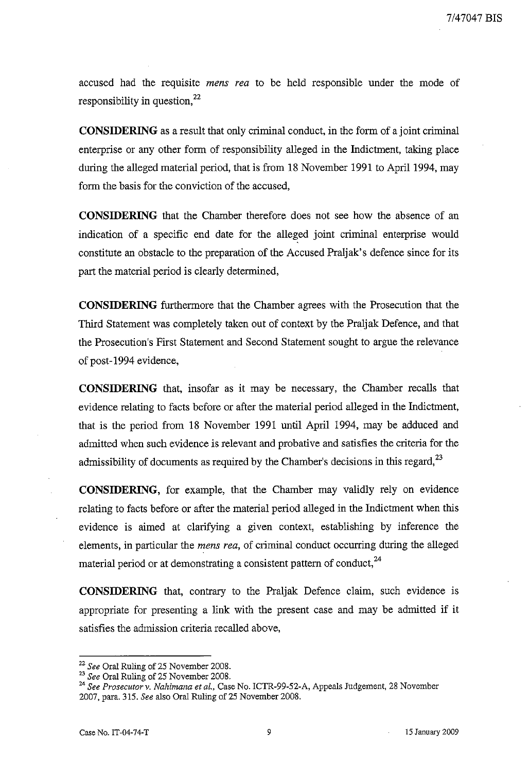accused had the requisite *mens rea* to be held responsible under the mode of responsibility in question, $22$ 

**CONSIDERING** as a result that only criminal conduct, in the form of a joint criminal enterprise or any other form of responsibility alleged in the Indictment, taking place during the alleged material period, that is from 18 November 1991 to April 1994, may form the basis for the conviction of the accused,

**CONSIDERING** that the Chamber therefore does not see how the absence of an indication of a specific end date for the alleged joint criminal enterprise would constitute an obstacle to the preparation of the Accused Praljak's defence since for its part the material period is clearly determined,

**CONSIDERING** furthermore that the Chamber agrees with the Prosecution that the Third Statement was completely taken out of context by the Praljak Defence, and that the Prosecution's First Statement and Second Statement sought to argue the relevance of post-1994 evidence,

**CONSIDERING** that, insofar as it may be necessary, the Chamber recalls that evidence relating to facts before or after the material period alleged in the Indictment, that is the period from 18 November 1991 until April 1994, may be adduced and admitted when such evidence is relevant and probative and satisfies the criteria for the admissibility of documents as required by the Chamber's decisions in this regard,  $2<sup>3</sup>$ 

**CONSIDERING,** for example, that the Chamber may validly rely on evidence relating to facts before or after the material period alleged in the Indictment when this evidence is aimed at clarifying a given context, establishing by inference the elements, in particular the *mens rea,* of criminal conduct occurring during the alleged material period or at demonstrating a consistent pattern of conduct,  $^{24}$ 

**CONSIDERING** that, contrary to the Praljak Defence claim, such evidence is appropriate for presenting a link with the present case and may be admitted if it satisfies the admission criteria recalled above,

*<sup>22</sup> See* Oral Ruling of 25 November 2008.

<sup>23</sup> *See* Oral Ruling of 25 November 2008.

*<sup>24</sup> See Prosecutor* v. *Nahimana et al.,* Case No. ICTR-99-52-A, Appeals Judgement, 28 November 2007, para. 315. *See* also Oral Ruling of 25 November 2008.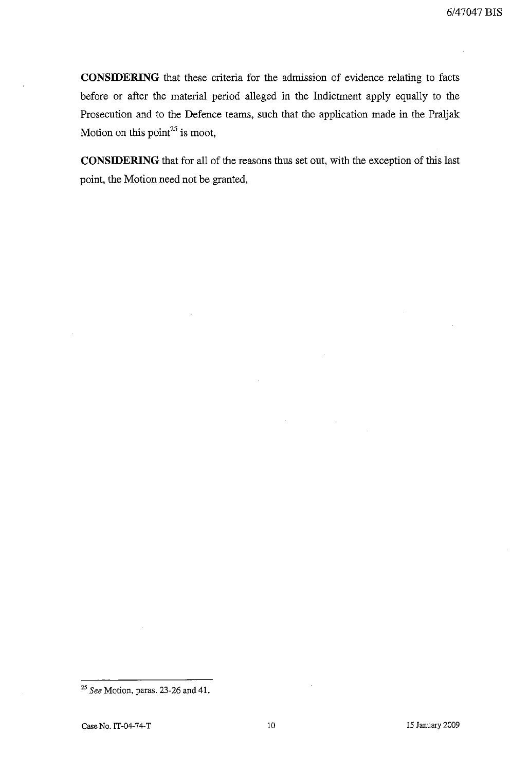**CONSIDERING** that these criteria for the admission of evidence relating to facts before or after the material period alleged in the Indictment apply equally to the Prosecution and to the Defence teams, such that the application made in the Praljak Motion on this point<sup>25</sup> is moot,

**CONSIDERING** that for all of the reasons thus set out, with the exception of this last point, the Motion need not be granted,

*<sup>25</sup> See* Motion, paras. 23-26 and 41.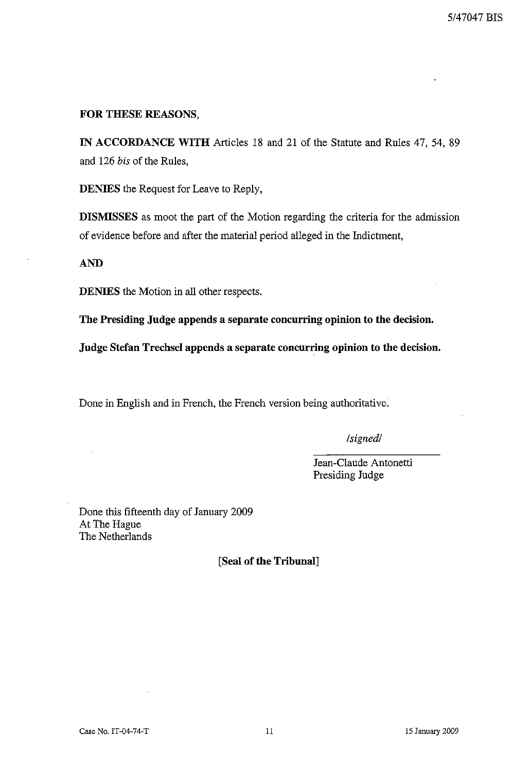#### **FOR THESE REASONS,**

**IN ACCORDANCE WITH** Articles 18 and 21 of the Statute and Rules 47, 54, 89 and 126 *his* of the Rules,

**DENIES** the Request for Leave to Reply,

**DISMISSES** as moot the part of the Motion regarding the criteria for the admission of evidence before and after the material period alleged in the Indictment,

#### **AND**

**DENIES** the Motion in all other respects.

**The Presiding Judge appends a separate concurring opinion to the decision.**

**Judge Stefan Trechsel appends a separate concurring opinion to the decision.**

Done in English and in French, the French version being authoritative.

*/signed/*

Jean-Claude Antonetti Presiding Judge

Done this fifteenth day of January 2009 At The Hague The Netherlands

**[Seal of the Tribunal]**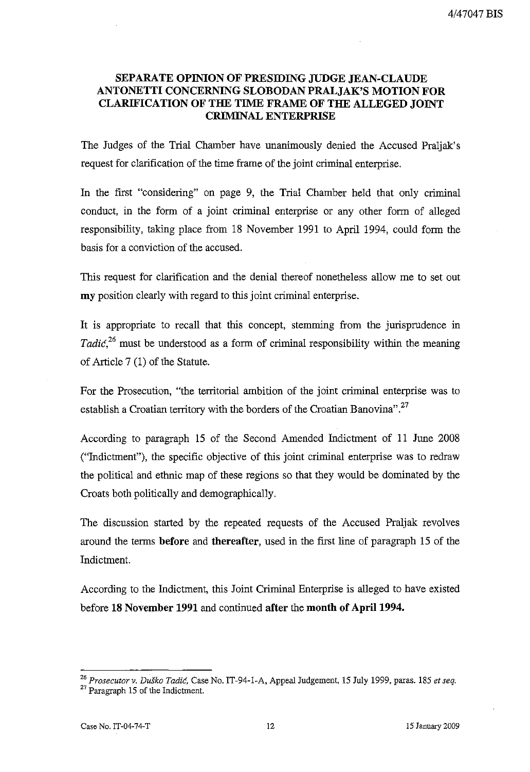# **SEPARATE OPINION OF PRESIDING JUDGE JEAN-CLAUDE ANTONETTI CONCERNING SLOBODAN PRALJAK'S MOTION FOR CLARIFICATION OF THE TIME FRAME OF THE ALLEGED JOINT** CRIMINAL ENTERPRISE

**The** Judges of the Trial Chamber have unanimously denied the Accused Praljak's request for clarification of the time frame of the joint criminal enterprise.

In the first "considering" on page 9, the Trial Chamber held that only criminal conduct, in the form of a joint criminal enterprise or any other form of alleged responsibility, taking place from 18 November 1991 to April 1994, could form the basis for a conviction of the accused.

This request for clarification and the denial thereof nonetheless allow me to set out **my** position clearly with regard to this joint criminal enterprise.

It is appropriate to recall that this concept, stemming from the jurisprudence in *Tadic,26* must be understood as a form of criminal responsibility within the meaning of Article 7 (1) of the Statute.

For the Prosecution, "the territorial ambition of the joint criminal enterprise was to establish a Croatian territory with the borders of the Croatian Banovina".<sup>27</sup>

According to paragraph 15 of the Second Amended Indictment of 11 June 2008 ("Indictment"), the specific objective of this joint criminal enterprise was to redraw the political and ethnic map of these regions so that they would be dominated by the Croats both politically and demographically.

The discussion started by the repeated requests of the Accused Praljak revolves around the terms **before and thereafter,** used in the first line of paragraph 15 of the Indictment.

According to the Indictment, this Joint Criminal Enterprise is alleged to have existed before **18 November 1991** and continued **after the month of** April 1994.

*<sup>26</sup> Prosecutor v. Dutko Tadic,* Case No. IT-94-1-A, Appeal Judgement, 15 July 1999, paras. 185 *et seq.* <sup>27</sup> Paragraph 15 of the Indictment.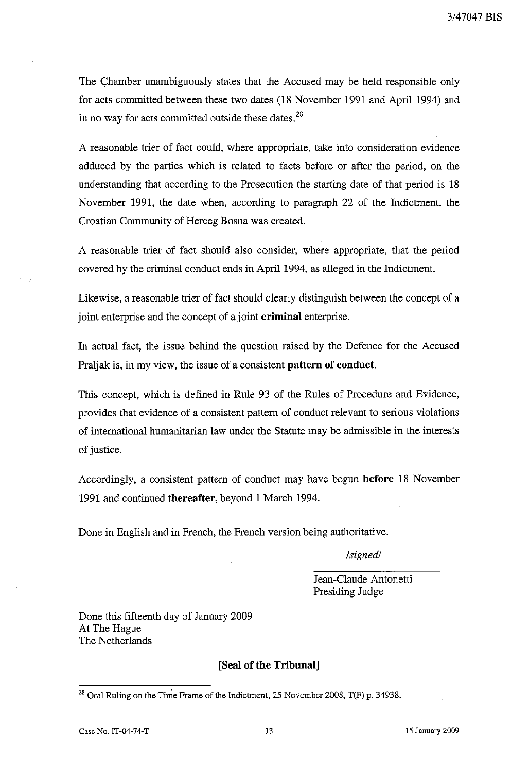The Chamber unambiguously states that the Accused may be held responsible only for acts committed between these two dates (18 November 1991 and April 1994) and in no way for acts committed outside these dates. $^{28}$ 

A reasonable trier of fact could, where appropriate, take into consideration evidence adduced by the parties which is related to facts before or after the period, on the understanding that according to the Prosecution the starting date of that period is 18 November 1991, the date when, according to paragraph 22 of the Indictment, the Croatian Community of Herceg Bosna was created.

A reasonable trier of fact should also consider, where appropriate, that the period covered by the criminal conduct ends in April 1994, as alleged in the Indictment.

Likewise, a reasonable trier of fact should clearly distinguish between the concept of a joint enterprise and the concept of a joint **criminal** enterprise.

**In** actual fact, the issue behind the question raised by the Defence for the Accused Praljak is, in my view, the issue of a consistent **pattern of conduct.**

This concept, which is defined in Rule 93 of the Rules of Procedure and Evidence, provides that evidence of a consistent pattern of conduct relevant to serious violations of international humanitarian law under the Statute may be admissible in the interests of justice.

Accordingly, a consistent pattern of conduct may have begun **before** 18 November 1991 and continued **thereafter,** beyond 1 March 1994.

Done in English and in French, the French version being authoritative.

*/signed/*

Jean-Claude Antonetti Presiding Judge

Done this fifteenth day of January 2009 At The Hague The Netherlands

## **[Seal of the Tribunal]**

<sup>&</sup>lt;sup>28</sup> Oral Ruling on the Time Frame of the Indictment, 25 November 2008, T(F) p. 34938.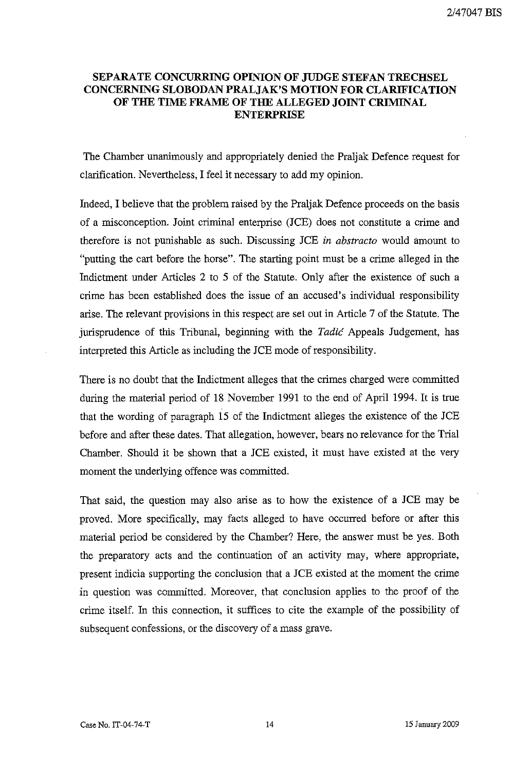## **SEPARATE CONCURRING OPINION OF JUDGE STEFAN TRECHSEL CONCERNING SLOBODAN PRALJAK'S MOTION FOR CLARIFICATION OF THE TIME FRAME OF THE ALLEGED JOINT CRIMINAL ENTERPRISE**

The Chamber unanimously and appropriately denied the Praljak Defence request for clarification. Nevertheless, I feel it necessary to add my opinion.

Indeed, I believe that the problem raised by the Praljak Defence proceeds on the basis of a misconception. Joint criminal enterprise (JCE) does not constitute a crime and therefore is not punishable as such. Discussing JCE *in abstracto* would amount to "putting the cart before the horse". The starting point must be a crime alleged in the Indictment under Articles 2 to 5 of the Statute. Only after the existence of such a crime has been established does the issue of an accused's individual responsibility arise. The relevant provisions in this respect are set out in Article 7 of the Statute. The jurisprudence of this Tribunal, beginning with the Tadic Appeals Judgement, has interpreted this Article as including the JCE mode of responsibility.

There is no doubt that the Indictment alleges that the crimes charged were committed during the material period of 18 November 1991 to the end of April 1994. **It** is true that the wording of paragraph 15 of the Indictment alleges the existence of the JCE before and after these dates. That allegation, however, bears no relevance for the Trial Chamber. Should it be shown that a JCE existed, it must have existed at the very moment the underlying offence was committed.

That said, the question may also arise as to how the existence of a JCE may be proved. More specifically, may facts alleged to have occurred before or after this material period be considered by the Chamber? Here, the answer must be yes. Both the preparatory acts and the continuation of an activity may, where appropriate, present indicia supporting the conclusion that a JCE existed at the moment the crime in question was committed. Moreover, that conclusion applies to the proof of the crime itself. In this connection, it suffices to cite the example of the possibility of subsequent confessions, or the discovery of a mass grave.